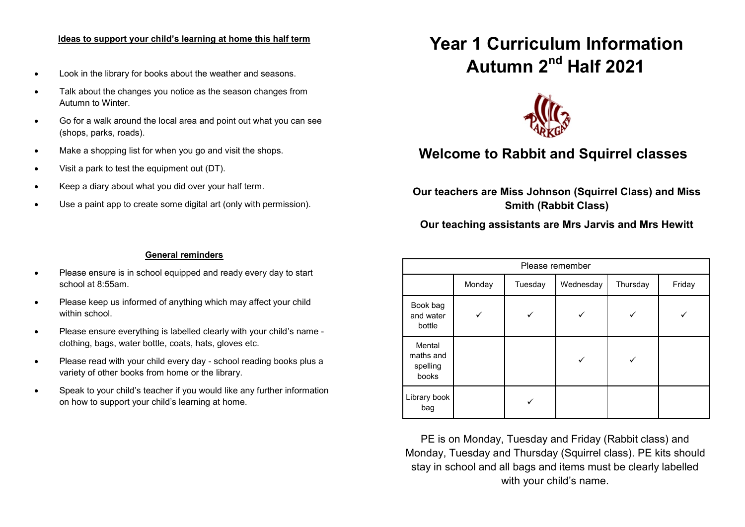#### **Ideas to support your child's learning at home this half term**

- Look in the library for books about the weather and seasons.
- Talk about the changes you notice as the season changes from Autumn to Winter.
- Go for a walk around the local area and point out what you can see (shops, parks, roads).
- Make a shopping list for when you go and visit the shops.
- Visit a park to test the equipment out (DT).
- Keep a diary about what you did over your half term.
- Use a paint app to create some digital art (only with permission).

# **Year 1 Curriculum Information Autumn 2nd Half 2021**



# **Welcome to Rabbit and Squirrel classes**

**Our teachers are Miss Johnson (Squirrel Class) and Miss Smith (Rabbit Class)**

# **Our teaching assistants are Mrs Jarvis and Mrs Hewitt**

#### **General reminders**

- Please ensure is in school equipped and ready every day to start school at 8:55am.
- Please keep us informed of anything which may affect your child within school.
- Please ensure everything is labelled clearly with your child's name clothing, bags, water bottle, coats, hats, gloves etc.
- Please read with your child every day school reading books plus a variety of other books from home or the library.
- Speak to your child's teacher if you would like any further information on how to support your child's learning at home.

| Please remember                          |        |         |           |          |        |
|------------------------------------------|--------|---------|-----------|----------|--------|
|                                          | Monday | Tuesday | Wednesday | Thursday | Friday |
| Book bag<br>and water<br>bottle          |        |         |           |          |        |
| Mental<br>maths and<br>spelling<br>books |        |         |           |          |        |
| Library book<br>bag                      |        |         |           |          |        |

PE is on Monday, Tuesday and Friday (Rabbit class) and Monday, Tuesday and Thursday (Squirrel class). PE kits should stay in school and all bags and items must be clearly labelled with your child's name.